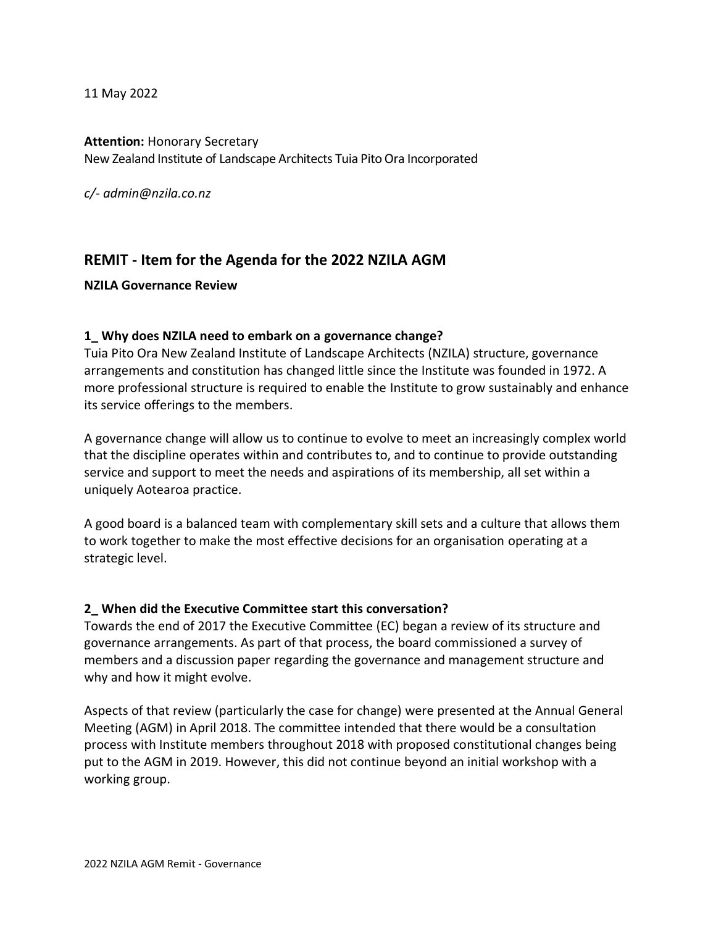11 May 2022

**Attention:** Honorary Secretary New Zealand Institute of Landscape Architects Tuia Pito Ora Incorporated

*c/- admin@nzila.co.nz*

# **REMIT - Item for the Agenda for the 2022 NZILA AGM**

#### **NZILA Governance Review**

#### **1\_ Why does NZILA need to embark on a governance change?**

Tuia Pito Ora New Zealand Institute of Landscape Architects (NZILA) structure, governance arrangements and constitution has changed little since the Institute was founded in 1972. A more professional structure is required to enable the Institute to grow sustainably and enhance its service offerings to the members.

A governance change will allow us to continue to evolve to meet an increasingly complex world that the discipline operates within and contributes to, and to continue to provide outstanding service and support to meet the needs and aspirations of its membership, all set within a uniquely Aotearoa practice.

A good board is a balanced team with complementary skill sets and a culture that allows them to work together to make the most effective decisions for an organisation operating at a strategic level.

#### **2\_ When did the Executive Committee start this conversation?**

Towards the end of 2017 the Executive Committee (EC) began a review of its structure and governance arrangements. As part of that process, the board commissioned a survey of members and a discussion paper regarding the governance and management structure and why and how it might evolve.

Aspects of that review (particularly the case for change) were presented at the Annual General Meeting (AGM) in April 2018. The committee intended that there would be a consultation process with Institute members throughout 2018 with proposed constitutional changes being put to the AGM in 2019. However, this did not continue beyond an initial workshop with a working group.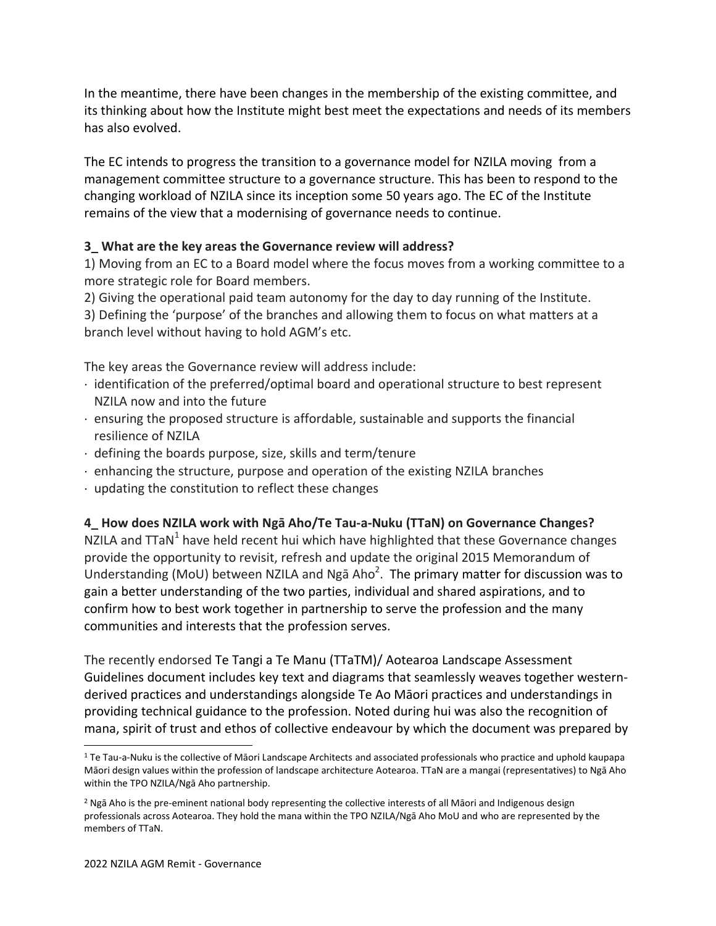In the meantime, there have been changes in the membership of the existing committee, and its thinking about how the Institute might best meet the expectations and needs of its members has also evolved.

The EC intends to progress the transition to a governance model for NZILA moving from a management committee structure to a governance structure. This has been to respond to the changing workload of NZILA since its inception some 50 years ago. The EC of the Institute remains of the view that a modernising of governance needs to continue.

## **3\_ What are the key areas the Governance review will address?**

1) Moving from an EC to a Board model where the focus moves from a working committee to a more strategic role for Board members.

2) Giving the operational paid team autonomy for the day to day running of the Institute.

3) Defining the 'purpose' of the branches and allowing them to focus on what matters at a branch level without having to hold AGM's etc.

The key areas the Governance review will address include:

- $\cdot$  identification of the preferred/optimal board and operational structure to best represent NZILA now and into the future
- ensuring the proposed structure is affordable, sustainable and supports the financial resilience of NZILA
- defining the boards purpose, size, skills and term/tenure
- enhancing the structure, purpose and operation of the existing NZILA branches
- updating the constitution to reflect these changes

### **4\_ How does NZILA work with Ngā Aho/Te Tau-a-Nuku (TTaN) on Governance Changes?**

NZILA and TTaN<sup>1</sup> have held recent hui which have highlighted that these Governance changes provide the opportunity to revisit, refresh and update the original 2015 Memorandum of Understanding (MoU) between NZILA and Ngā Aho<sup>2</sup>. The primary matter for discussion was to gain a better understanding of the two parties, individual and shared aspirations, and to confirm how to best work together in partnership to serve the profession and the many communities and interests that the profession serves.

The recently endorsed Te Tangi a Te Manu (TTaTM)/ Aotearoa Landscape Assessment Guidelines document includes key text and diagrams that seamlessly weaves together westernderived practices and understandings alongside Te Ao Māori practices and understandings in providing technical guidance to the profession. Noted during hui was also the recognition of mana, spirit of trust and ethos of collective endeavour by which the document was prepared by

<sup>1</sup> Te Tau-a-Nuku is the collective of Māori Landscape Architects and associated professionals who practice and uphold kaupapa Māori design values within the profession of landscape architecture Aotearoa. TTaN are a mangai (representatives) to Ngā Aho within the TPO NZILA/Ngā Aho partnership.

<sup>2</sup> Ngā Aho is the pre-eminent national body representing the collective interests of all Māori and Indigenous design professionals across Aotearoa. They hold the mana within the TPO NZILA/Ngā Aho MoU and who are represented by the members of TTaN.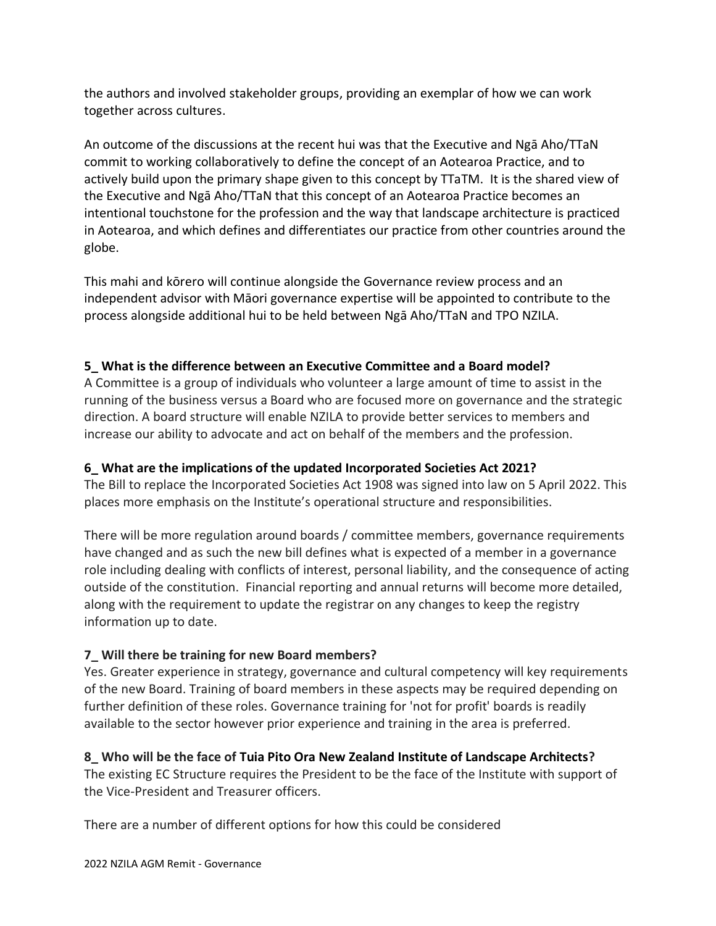the authors and involved stakeholder groups, providing an exemplar of how we can work together across cultures.

An outcome of the discussions at the recent hui was that the Executive and Ngā Aho/TTaN commit to working collaboratively to define the concept of an Aotearoa Practice, and to actively build upon the primary shape given to this concept by TTaTM. It is the shared view of the Executive and Ngā Aho/TTaN that this concept of an Aotearoa Practice becomes an intentional touchstone for the profession and the way that landscape architecture is practiced in Aotearoa, and which defines and differentiates our practice from other countries around the globe.

This mahi and kōrero will continue alongside the Governance review process and an independent advisor with Māori governance expertise will be appointed to contribute to the process alongside additional hui to be held between Ngā Aho/TTaN and TPO NZILA.

## **5\_ What is the difference between an Executive Committee and a Board model?**

A Committee is a group of individuals who volunteer a large amount of time to assist in the running of the business versus a Board who are focused more on governance and the strategic direction. A board structure will enable NZILA to provide better services to members and increase our ability to advocate and act on behalf of the members and the profession.

### **6\_ What are the implications of the updated Incorporated Societies Act 2021?**

The Bill to replace the Incorporated Societies Act 1908 was signed into law on 5 April 2022. This places more emphasis on the Institute's operational structure and responsibilities.

There will be more regulation around boards / committee members, governance requirements have changed and as such the new bill defines what is expected of a member in a governance role including dealing with conflicts of interest, personal liability, and the consequence of acting outside of the constitution. Financial reporting and annual returns will become more detailed, along with the requirement to update the registrar on any changes to keep the registry information up to date.

# **7\_ Will there be training for new Board members?**

Yes. Greater experience in strategy, governance and cultural competency will key requirements of the new Board. Training of board members in these aspects may be required depending on further definition of these roles. Governance training for 'not for profit' boards is readily available to the sector however prior experience and training in the area is preferred.

# **8\_ Who will be the face of Tuia Pito Ora New Zealand Institute of Landscape Architects?**

The existing EC Structure requires the President to be the face of the Institute with support of the Vice-President and Treasurer officers.

There are a number of different options for how this could be considered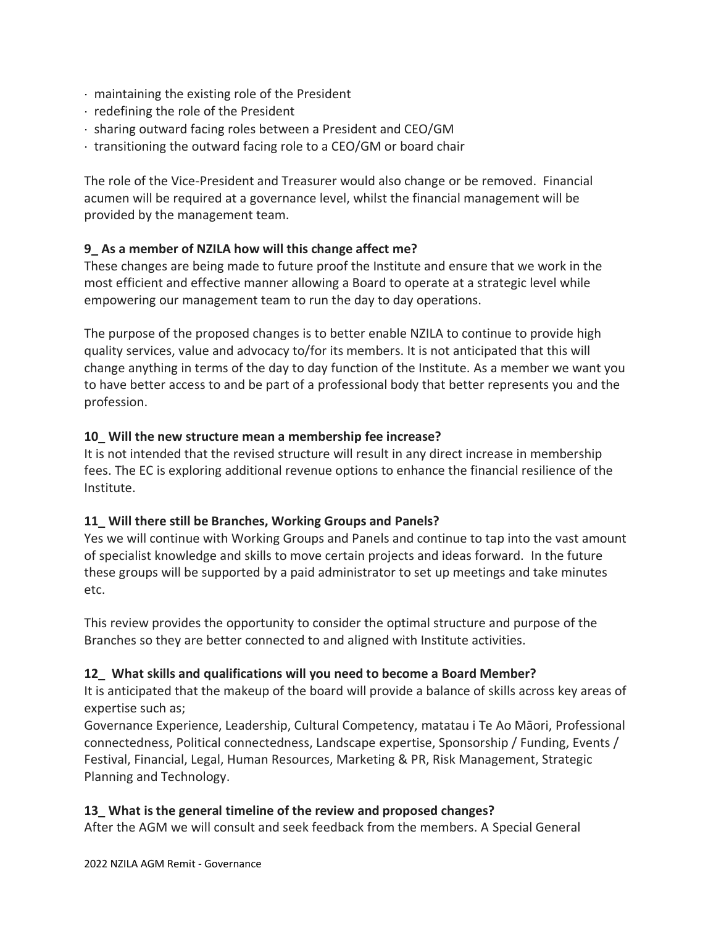- maintaining the existing role of the President
- $\cdot$  redefining the role of the President
- sharing outward facing roles between a President and CEO/GM
- $\cdot$  transitioning the outward facing role to a CEO/GM or board chair

The role of the Vice-President and Treasurer would also change or be removed. Financial acumen will be required at a governance level, whilst the financial management will be provided by the management team.

## **9\_ As a member of NZILA how will this change affect me?**

These changes are being made to future proof the Institute and ensure that we work in the most efficient and effective manner allowing a Board to operate at a strategic level while empowering our management team to run the day to day operations.

The purpose of the proposed changes is to better enable NZILA to continue to provide high quality services, value and advocacy to/for its members. It is not anticipated that this will change anything in terms of the day to day function of the Institute. As a member we want you to have better access to and be part of a professional body that better represents you and the profession.

### **10\_ Will the new structure mean a membership fee increase?**

It is not intended that the revised structure will result in any direct increase in membership fees. The EC is exploring additional revenue options to enhance the financial resilience of the Institute.

### **11\_ Will there still be Branches, Working Groups and Panels?**

Yes we will continue with Working Groups and Panels and continue to tap into the vast amount of specialist knowledge and skills to move certain projects and ideas forward. In the future these groups will be supported by a paid administrator to set up meetings and take minutes etc.

This review provides the opportunity to consider the optimal structure and purpose of the Branches so they are better connected to and aligned with Institute activities.

# **12\_ What skills and qualifications will you need to become a Board Member?**

It is anticipated that the makeup of the board will provide a balance of skills across key areas of expertise such as;

Governance Experience, Leadership, Cultural Competency, matatau i Te Ao Māori, Professional connectedness, Political connectedness, Landscape expertise, Sponsorship / Funding, Events / Festival, Financial, Legal, Human Resources, Marketing & PR, Risk Management, Strategic Planning and Technology.

### **13\_ What is the general timeline of the review and proposed changes?**

After the AGM we will consult and seek feedback from the members. A Special General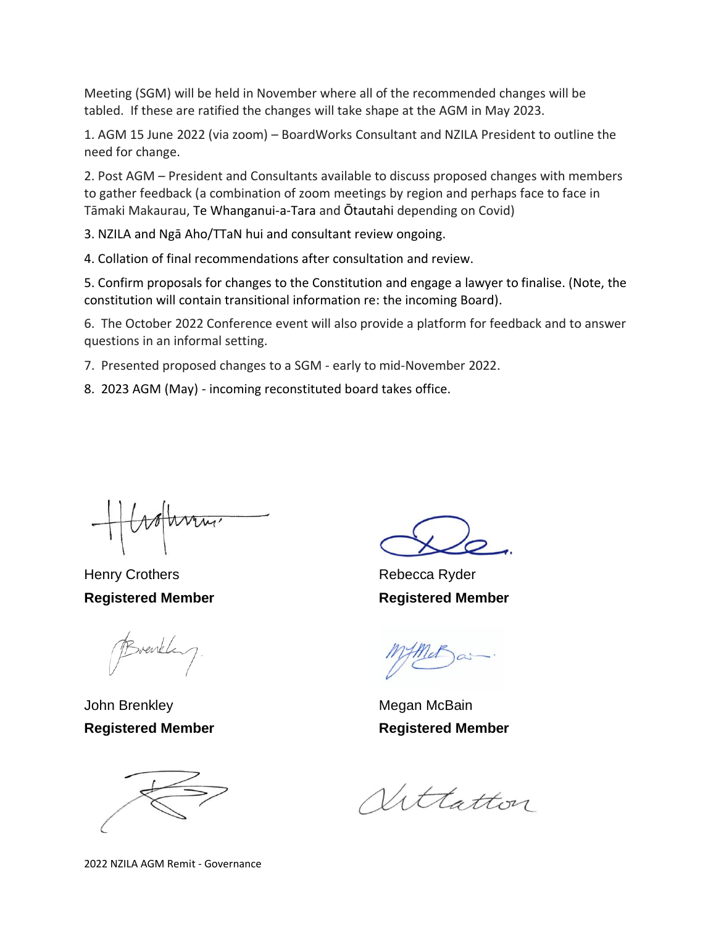Meeting (SGM) will be held in November where all of the recommended changes will be tabled. If these are ratified the changes will take shape at the AGM in May 2023.

1. AGM 15 June 2022 (via zoom) – BoardWorks Consultant and NZILA President to outline the need for change.

2. Post AGM – President and Consultants available to discuss proposed changes with members to gather feedback (a combination of zoom meetings by region and perhaps face to face in Tāmaki Makaurau, Te Whanganui-a-Tara and Ōtautahi depending on Covid)

3. NZILA and Ngā Aho/TTaN hui and consultant review ongoing.

4. Collation of final recommendations after consultation and review.

5. Confirm proposals for changes to the Constitution and engage a lawyer to finalise. (Note, the constitution will contain transitional information re: the incoming Board).

6. The October 2022 Conference event will also provide a platform for feedback and to answer questions in an informal setting.

7. Presented proposed changes to a SGM - early to mid-November 2022.

8. 2023 AGM (May) - incoming reconstituted board takes office.

Henry Crothers **Rebecca** Ryder **Registered Member Registered Member**

Breakley

John Brenkley Megan McBain



**Registered Member Registered Member**

Vittatton

2022 NZILA AGM Remit - Governance